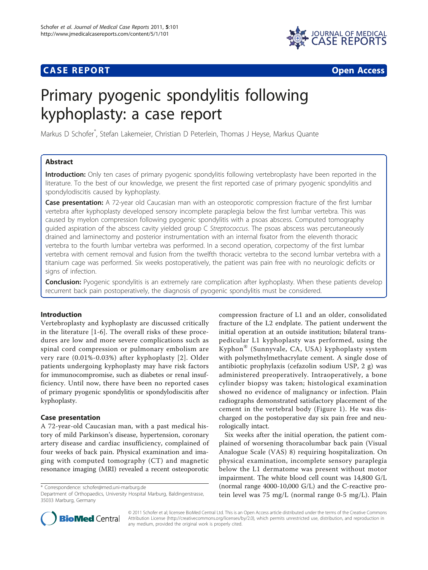## **CASE REPORT CASE REPORT CASE REPORT**



# Primary pyogenic spondylitis following kyphoplasty: a case report

Markus D Schofer\* , Stefan Lakemeier, Christian D Peterlein, Thomas J Heyse, Markus Quante

## Abstract

Introduction: Only ten cases of primary pyogenic spondylitis following vertebroplasty have been reported in the literature. To the best of our knowledge, we present the first reported case of primary pyogenic spondylitis and spondylodiscitis caused by kyphoplasty.

Case presentation: A 72-year old Caucasian man with an osteoporotic compression fracture of the first lumbar vertebra after kyphoplasty developed sensory incomplete paraplegia below the first lumbar vertebra. This was caused by myelon compression following pyogenic spondylitis with a psoas abscess. Computed tomography guided aspiration of the abscess cavity yielded group C Streptococcus. The psoas abscess was percutaneously drained and laminectomy and posterior instrumentation with an internal fixator from the eleventh thoracic vertebra to the fourth lumbar vertebra was performed. In a second operation, corpectomy of the first lumbar vertebra with cement removal and fusion from the twelfth thoracic vertebra to the second lumbar vertebra with a titanium cage was performed. Six weeks postoperatively, the patient was pain free with no neurologic deficits or signs of infection.

**Conclusion:** Pyogenic spondylitis is an extremely rare complication after kyphoplasty. When these patients develop recurrent back pain postoperatively, the diagnosis of pyogenic spondylitis must be considered.

## Introduction

Vertebroplasty and kyphoplasty are discussed critically in the literature [[1](#page-3-0)-[6\]](#page-3-0). The overall risks of these procedures are low and more severe complications such as spinal cord compression or pulmonary embolism are very rare (0.01%-0.03%) after kyphoplasty [\[2\]](#page-3-0). Older patients undergoing kyphoplasty may have risk factors for immunocompromise, such as diabetes or renal insufficiency. Until now, there have been no reported cases of primary pyogenic spondylitis or spondylodiscitis after kyphoplasty.

## Case presentation

A 72-year-old Caucasian man, with a past medical history of mild Parkinson's disease, hypertension, coronary artery disease and cardiac insufficiency, complained of four weeks of back pain. Physical examination and imaging with computed tomography (CT) and magnetic resonance imaging (MRI) revealed a recent osteoporotic

\* Correspondence: [schofer@med.uni-marburg.de](mailto:schofer@med.uni-marburg.de)

compression fracture of L1 and an older, consolidated fracture of the L2 endplate. The patient underwent the initial operation at an outside institution; bilateral transpedicular L1 kyphoplasty was performed, using the Kyphon® (Sunnyvale, CA, USA) kyphoplasty system with polymethylmethacrylate cement. A single dose of antibiotic prophylaxis (cefazolin sodium USP, 2 g) was administered preoperatively. Intraoperatively, a bone cylinder biopsy was taken; histological examination showed no evidence of malignancy or infection. Plain radiographs demonstrated satisfactory placement of the cement in the vertebral body (Figure [1](#page-1-0)). He was discharged on the postoperative day six pain free and neurologically intact.

Six weeks after the initial operation, the patient complained of worsening thoracolumbar back pain (Visual Analogue Scale (VAS) 8) requiring hospitalization. On physical examination, incomplete sensory paraplegia below the L1 dermatome was present without motor impairment. The white blood cell count was 14,800 G/L (normal range 4000-10,000 G/L) and the C-reactive protein level was 75 mg/L (normal range 0-5 mg/L). Plain



© 2011 Schofer et al; licensee BioMed Central Ltd. This is an Open Access article distributed under the terms of the Creative Commons Attribution License [\(http://creativecommons.org/licenses/by/2.0](http://creativecommons.org/licenses/by/2.0)), which permits unrestricted use, distribution, and reproduction in any medium, provided the original work is properly cited.

Department of Orthopaedics, University Hospital Marburg, Baldingerstrasse, 35033 Marburg, Germany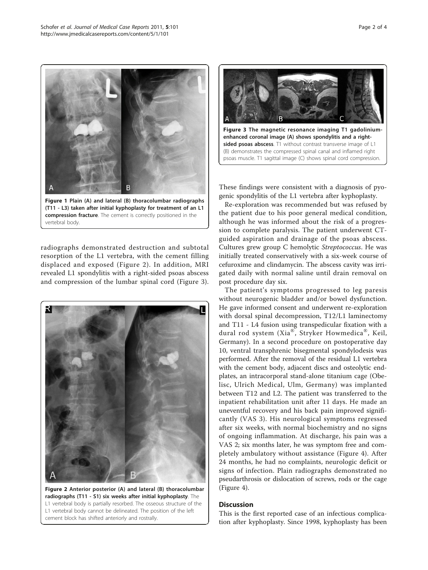<span id="page-1-0"></span>

Figure 1 Plain (A) and lateral (B) thoracolumbar radiographs (T11 - L3) taken after initial kyphoplasty for treatment of an L1 compression fracture. The cement is correctly positioned in the vertebral body.

F

radiographs demonstrated destruction and subtotal resorption of the L1 vertebra, with the cement filling displaced and exposed (Figure 2). In addition, MRI revealed L1 spondylitis with a right-sided psoas abscess and compression of the lumbar spinal cord (Figure 3).



Figure 2 Anterior posterior (A) and lateral (B) thoracolumbar radiographs (T11 - S1) six weeks after initial kyphoplasty. The L1 vertebral body is partially resorbed. The osseous structure of the L1 vertebral body cannot be delineated. The position of the left cement block has shifted anteriorly and rostrally.



These findings were consistent with a diagnosis of pyogenic spondylitis of the L1 vertebra after kyphoplasty.

Re-exploration was recommended but was refused by the patient due to his poor general medical condition, although he was informed about the risk of a progression to complete paralysis. The patient underwent CTguided aspiration and drainage of the psoas abscess. Cultures grew group C hemolytic Streptococcus. He was initially treated conservatively with a six-week course of cefuroxime and clindamycin. The abscess cavity was irrigated daily with normal saline until drain removal on post procedure day six.

The patient's symptoms progressed to leg paresis without neurogenic bladder and/or bowel dysfunction. He gave informed consent and underwent re-exploration with dorsal spinal decompression, T12/L1 laminectomy and T11 - L4 fusion using transpedicular fixation with a dural rod system (Xia®, Stryker Howmedica®, Keil, Germany). In a second procedure on postoperative day 10, ventral transphrenic bisegmental spondylodesis was performed. After the removal of the residual L1 vertebra with the cement body, adjacent discs and osteolytic endplates, an intracorporal stand-alone titanium cage (Obelisc, Ulrich Medical, Ulm, Germany) was implanted between T12 and L2. The patient was transferred to the inpatient rehabilitation unit after 11 days. He made an uneventful recovery and his back pain improved significantly (VAS 3). His neurological symptoms regressed after six weeks, with normal biochemistry and no signs of ongoing inflammation. At discharge, his pain was a VAS 2; six months later, he was symptom free and completely ambulatory without assistance (Figure [4\)](#page-2-0). After 24 months, he had no complaints, neurologic deficit or signs of infection. Plain radiographs demonstrated no pseudarthrosis or dislocation of screws, rods or the cage (Figure [4\)](#page-2-0).

## **Discussion**

This is the first reported case of an infectious complication after kyphoplasty. Since 1998, kyphoplasty has been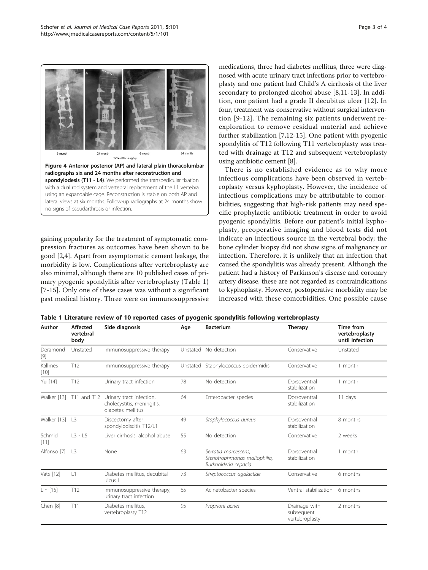<span id="page-2-0"></span>

gaining popularity for the treatment of symptomatic compression fractures as outcomes have been shown to be good [[2,4\]](#page-3-0). Apart from asymptomatic cement leakage, the morbidity is low. Complications after vertebroplasty are also minimal, although there are 10 published cases of primary pyogenic spondylitis after vertebroplasty (Table 1) [[7-15](#page-3-0)]. Only one of these cases was without a significant past medical history. Three were on immunosuppressive medications, three had diabetes mellitus, three were diagnosed with acute urinary tract infections prior to vertebroplasty and one patient had Child's A cirrhosis of the liver secondary to prolonged alcohol abuse [[8,11-13](#page-3-0)]. In addition, one patient had a grade II decubitus ulcer [[12](#page-3-0)]. In four, treatment was conservative without surgical intervention [[9-12](#page-3-0)]. The remaining six patients underwent reexploration to remove residual material and achieve further stabilization [\[7,12](#page-3-0)-[15\]](#page-3-0). One patient with pyogenic spondylitis of T12 following T11 vertebroplasty was treated with drainage at T12 and subsequent vertebroplasty using antibiotic cement [[8](#page-3-0)].

There is no established evidence as to why more infectious complications have been observed in vertebroplasty versus kyphoplasty. However, the incidence of infectious complications may be attributable to comorbidities, suggesting that high-risk patients may need specific prophylactic antibiotic treatment in order to avoid pyogenic spondylitis. Before our patient's initial kyphoplasty, preoperative imaging and blood tests did not indicate an infectious source in the vertebral body; the bone cylinder biopsy did not show signs of malignancy or infection. Therefore, it is unlikely that an infection that caused the spondylitis was already present. Although the patient had a history of Parkinson's disease and coronary artery disease, these are not regarded as contraindications to kyphoplasty. However, postoperative morbidity may be increased with these comorbidities. One possible cause

| Table 1 Literature review of 10 reported cases of pyogenic spondylitis following vertebroplasty |  |  |  |  |  |  |  |  |  |
|-------------------------------------------------------------------------------------------------|--|--|--|--|--|--|--|--|--|
|-------------------------------------------------------------------------------------------------|--|--|--|--|--|--|--|--|--|

| Author            | <b>Affected</b><br>vertebral<br>body            | Side diagnosis                                                              | Age      | <b>Bacterium</b>                                                             | <b>Therapy</b>                                | Time from<br>vertebroplasty<br>until infection |  |
|-------------------|-------------------------------------------------|-----------------------------------------------------------------------------|----------|------------------------------------------------------------------------------|-----------------------------------------------|------------------------------------------------|--|
| Deramond          | Unstated                                        | Immunosuppressive therapy                                                   |          | Unstated No detection                                                        | Conservative                                  | Unstated                                       |  |
| Kallmes<br>$[10]$ | T12                                             | Immunosuppressive therapy                                                   | Unstated | Staphylococcus epidermidis                                                   | Conservative                                  | 1 month                                        |  |
| Yu [14]           | T12                                             | Urinary tract infection                                                     | 78       | No detection                                                                 | Dorsoventral<br>stabilization                 | 1 month                                        |  |
| Walker [13]       | T11 and T12                                     | Urinary tract infection,<br>cholecystitis, meningitis,<br>diabetes mellitus | 64       | Enterobacter species                                                         | Dorsoventral<br>stabilization                 | 11 days                                        |  |
| Walker [13]       | L3                                              | Discectomy after<br>spondylodiscitis T12/L1                                 | 49       | Staphylococcus aureus                                                        | Dorsoventral<br>stabilization                 | 8 months                                       |  |
| Schmid<br>$[11]$  | $L3 - L5$                                       | Liver cirrhosis, alcohol abuse                                              | 55       | No detection                                                                 | Conservative                                  | 2 weeks                                        |  |
| Alfonso [7]       | L3                                              | None                                                                        | 63       | Serratia marcescens,<br>Stenotrophmonas maltophilia,<br>Burkholderia cepacia | Dorsoventral<br>stabilization                 | 1 month                                        |  |
| Vats [12]         | L1                                              | Diabetes mellitus, decubital<br>ulcus II                                    | 73       | Streptococcus agalactiae                                                     | Conservative                                  | 6 months                                       |  |
| Lin [15]          | T12                                             | Immunosuppressive therapy,<br>urinary tract infection                       | 65       | Acinetobacter species                                                        | Ventral stabilization                         | 6 months                                       |  |
| Chen [8]          | T11<br>Diabetes mellitus,<br>vertebroplasty T12 |                                                                             | 95       | Proprioni acnes                                                              | Drainage with<br>subsequent<br>vertebroplasty | 2 months                                       |  |